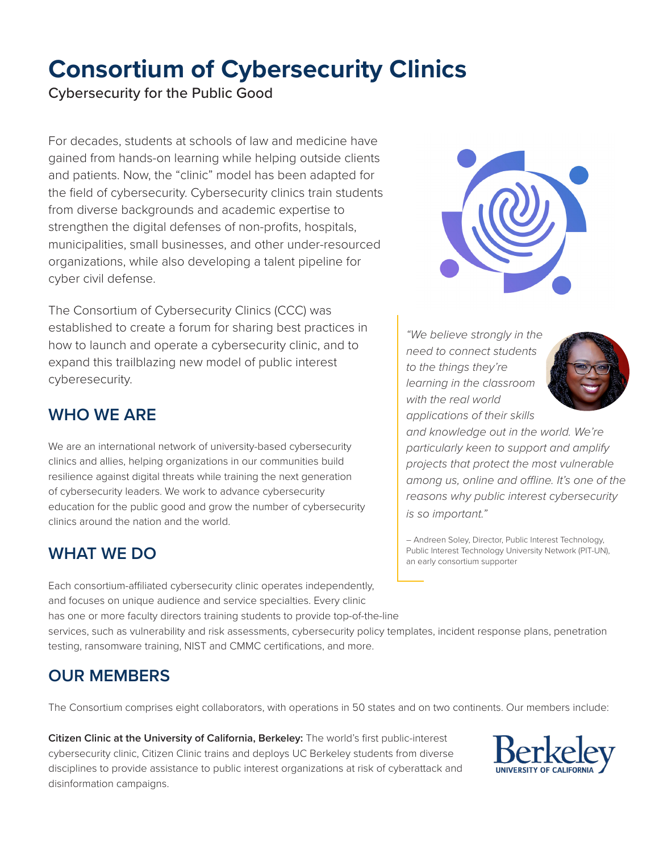# **Consortium of Cybersecurity Clinics**

Cybersecurity for the Public Good

For decades, students at schools of law and medicine have gained from hands-on learning while helping outside clients and patients. Now, the "clinic" model has been adapted for the field of cybersecurity. Cybersecurity clinics train students from diverse backgrounds and academic expertise to strengthen the digital defenses of non-profits, hospitals, municipalities, small businesses, and other under-resourced organizations, while also developing a talent pipeline for cyber civil defense.

The Consortium of Cybersecurity Clinics (CCC) was established to create a forum for sharing best practices in how to launch and operate a cybersecurity clinic, and to expand this trailblazing new model of public interest cyberesecurity.

# **WHO WE ARE**

We are an international network of university-based cybersecurity clinics and allies, helping organizations in our communities build resilience against digital threats while training the next generation of cybersecurity leaders. We work to advance cybersecurity education for the public good and grow the number of cybersecurity clinics around the nation and the world.

### **WHAT WE DO**

Each consortium-affiliated cybersecurity clinic operates independently, and focuses on unique audience and service specialties. Every clinic has one or more faculty directors training students to provide top-of-the-line

services, such as vulnerability and risk assessments, cybersecurity policy templates, incident response plans, penetration testing, ransomware training, NIST and CMMC certifications, and more.

# **OUR MEMBERS**

The Consortium comprises eight collaborators, with operations in 50 states and on two continents. Our members include:

**Citizen Clinic at the University of California, Berkeley:** The world's first public-interest cybersecurity clinic, Citizen Clinic trains and deploys UC Berkeley students from diverse disciplines to provide assistance to public interest organizations at risk of cyberattack and disinformation campaigns.



*"We believe strongly in the need to connect students to the things they're learning in the classroom with the real world applications of their skills* 



*and knowledge out in the world. We're particularly keen to support and amplify projects that protect the most vulnerable among us, online and offline. It's one of the reasons why public interest cybersecurity is so important."*

– Andreen Soley, Director, Public Interest Technology, Public Interest Technology University Network (PIT-UN), an early consortium supporter